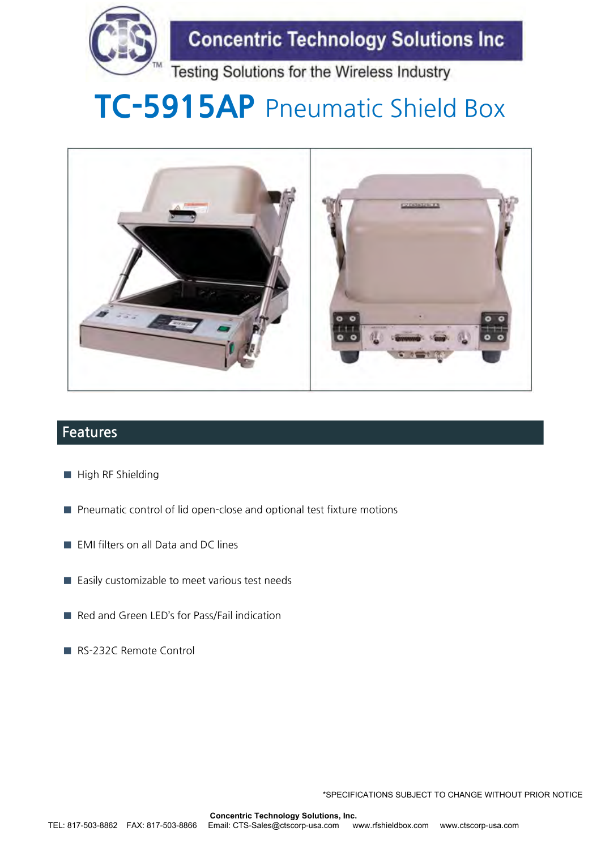

**Concentric Technology Solutions Inc** 

Testing Solutions for the Wireless Industry

# **TC-5915AP** Pneumatic Shield Box



### **Features**

- High RF Shielding
- Pneumatic control of lid open-close and optional test fixture motions
- EMI filters on all Data and DC lines
- Easily customizable to meet various test needs
- Red and Green LED's for Pass/Fail indication
- RS-232C Remote Control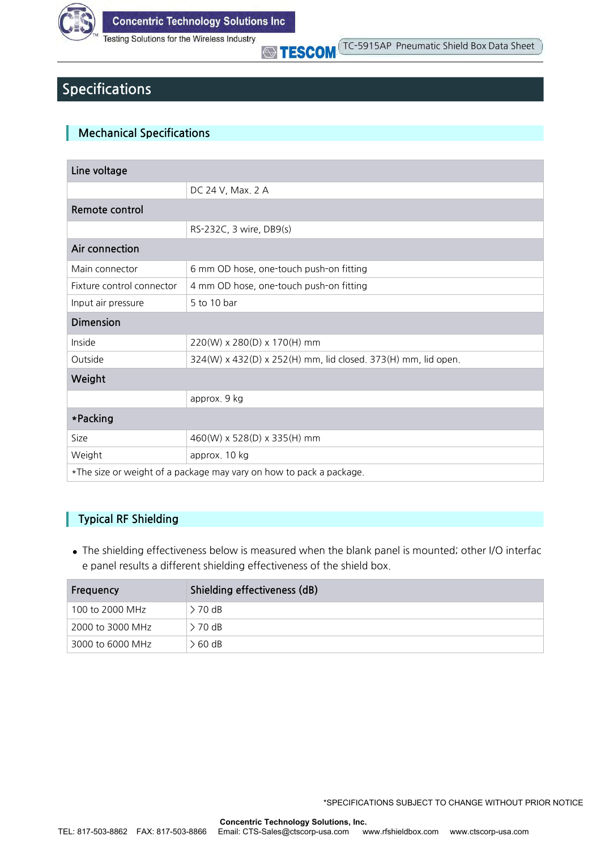

## **Specifications**

### **Mechanical Specifications**

| Line voltage                                                        |                                                               |  |  |
|---------------------------------------------------------------------|---------------------------------------------------------------|--|--|
|                                                                     | DC 24 V, Max. 2 A                                             |  |  |
| Remote control                                                      |                                                               |  |  |
|                                                                     | RS-232C, 3 wire, DB9(s)                                       |  |  |
| Air connection                                                      |                                                               |  |  |
| Main connector                                                      | 6 mm OD hose, one-touch push-on fitting                       |  |  |
| Fixture control connector                                           | 4 mm OD hose, one-touch push-on fitting                       |  |  |
| Input air pressure                                                  | 5 to 10 bar                                                   |  |  |
| <b>Dimension</b>                                                    |                                                               |  |  |
| Inside                                                              | 220(W) x 280(D) x 170(H) mm                                   |  |  |
| Outside                                                             | 324(W) x 432(D) x 252(H) mm, lid closed. 373(H) mm, lid open. |  |  |
| Weight                                                              |                                                               |  |  |
|                                                                     | approx. 9 kg                                                  |  |  |
| *Packing                                                            |                                                               |  |  |
| <b>Size</b>                                                         | 460(W) x 528(D) x 335(H) mm                                   |  |  |
| Weight                                                              | approx. 10 kg                                                 |  |  |
| *The size or weight of a package may vary on how to pack a package. |                                                               |  |  |

### **Typical RF Shielding**

I

**●** The shielding effectiveness below is measured when the blank panel is mounted; other I/O interfac e panel results a different shielding effectiveness of the shield box.

| Frequency        | Shielding effectiveness (dB) |  |  |
|------------------|------------------------------|--|--|
| 100 to 2000 MHz  | $> 70$ dB                    |  |  |
| 2000 to 3000 MHz | > 70 dB                      |  |  |
| 3000 to 6000 MHz | > 60 dB                      |  |  |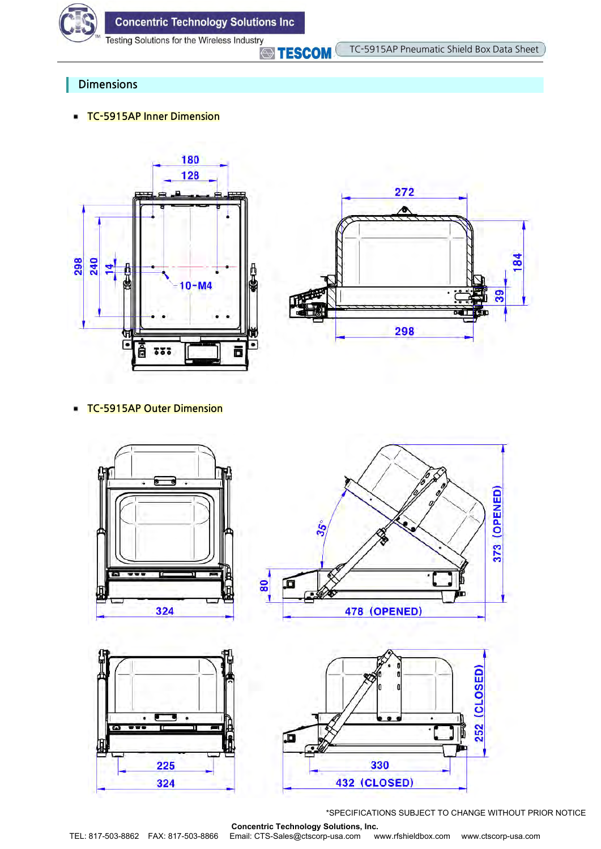

**STESCOM** 

### **Dimensions**

**TC-5915AP Inner Dimension**





#### **TC-5915AP Outer Dimension** ٠



\*SPECIFICATIONS SUBJECT TO CHANGE WITHOUT PRIOR NOTICE

**Concentric Technology Solutions, Inc.** TEL: 817-503-8862 FAX: 817-503-8866 Email: CTS-Sales@ctscorp-usa.com www.rfshieldbox.com www.ctscorp-usa.com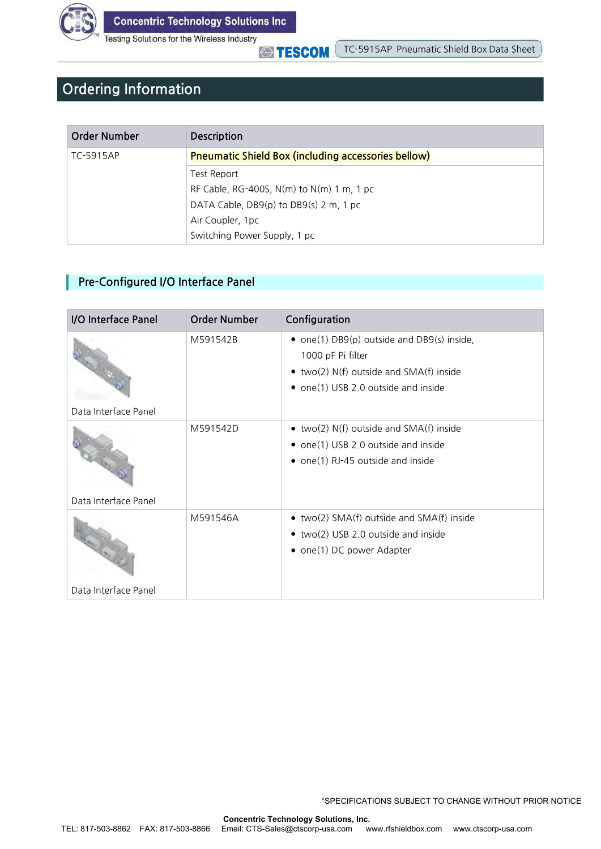

**STESCOM** 

# **Ordering Information**

| Order Number | <b>Description</b>                                         |
|--------------|------------------------------------------------------------|
| TC-5915AP    | <b>Pneumatic Shield Box (including accessories bellow)</b> |
|              | Test Report                                                |
|              | RF Cable, RG-400S, $N(m)$ to $N(m)$ 1 m, 1 pc              |
|              | DATA Cable, DB9(p) to DB9(s) 2 m, 1 pc                     |
|              | Air Coupler, 1pc                                           |
|              | Switching Power Supply, 1 pc                               |

### **Pre-Configured I/O Interface Panel**

| I/O Interface Panel  | <b>Order Number</b> | Configuration                                                                                                                                             |
|----------------------|---------------------|-----------------------------------------------------------------------------------------------------------------------------------------------------------|
| Data Interface Panel | M591542B            | • one(1) DB9(p) outside and DB9(s) inside,<br>1000 pF Pi filter<br>$\bullet$ two(2) N(f) outside and SMA(f) inside<br>• one(1) USB 2.0 outside and inside |
| Data Interface Panel | M591542D            | • two(2) $N(f)$ outside and $SMA(f)$ inside<br>• one(1) USB 2.0 outside and inside<br>• one(1) RJ-45 outside and inside                                   |
|                      | M591546A            | • two(2) $SMA(f)$ outside and $SMA(f)$ inside<br>• two(2) USB 2.0 outside and inside<br>• one(1) DC power Adapter                                         |
| Data Interface Panel |                     |                                                                                                                                                           |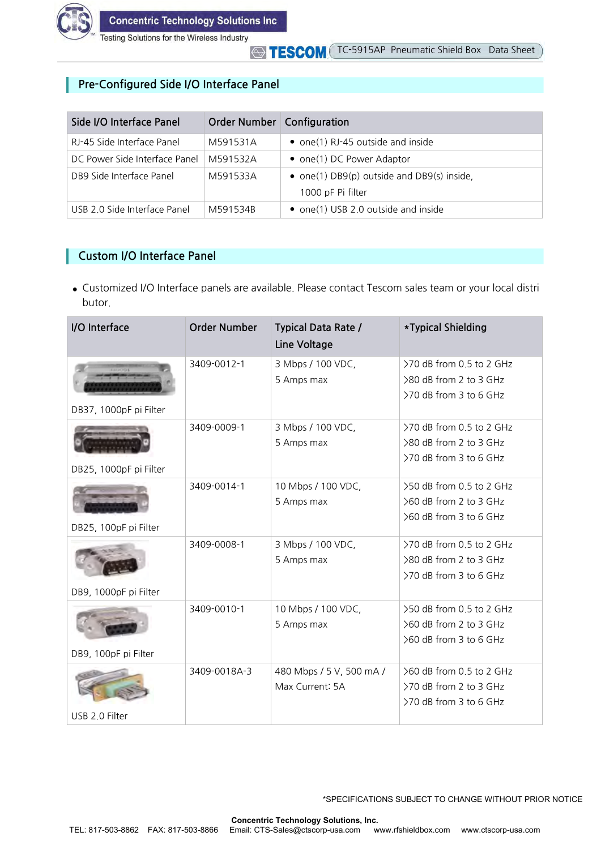

### **Pre-Configured Side I/O Interface Panel**

| Side I/O Interface Panel      | Order Number   Configuration |                                                                     |
|-------------------------------|------------------------------|---------------------------------------------------------------------|
| RJ-45 Side Interface Panel    | M591531A                     | • one(1) RJ-45 outside and inside                                   |
| DC Power Side Interface Panel | M591532A                     | • one(1) DC Power Adaptor                                           |
| DB9 Side Interface Panel      | M591533A                     | • one(1) $DB9(p)$ outside and $DB9(s)$ inside,<br>1000 pF Pi filter |
| USB 2.0 Side Interface Panel  | M591534B                     | • one(1) USB 2.0 outside and inside                                 |

### **Custom I/O Interface Panel**

**●** Customized I/O Interface panels are available. Please contact Tescom sales team or your local distri butor.

| I/O Interface          | <b>Order Number</b> | <b>Typical Data Rate /</b><br>Line Voltage  | *Typical Shielding                                                           |
|------------------------|---------------------|---------------------------------------------|------------------------------------------------------------------------------|
| DB37, 1000pF pi Filter | 3409-0012-1         | 3 Mbps / 100 VDC,<br>5 Amps max             | >70 dB from 0.5 to 2 GHz<br>>80 dB from 2 to 3 GHz<br>>70 dB from 3 to 6 GHz |
| DB25, 1000pF pi Filter | 3409-0009-1         | 3 Mbps / 100 VDC,<br>5 Amps max             | >70 dB from 0.5 to 2 GHz<br>>80 dB from 2 to 3 GHz<br>>70 dB from 3 to 6 GHz |
| DB25, 100pF pi Filter  | 3409-0014-1         | 10 Mbps / 100 VDC,<br>5 Amps max            | >50 dB from 0.5 to 2 GHz<br>>60 dB from 2 to 3 GHz<br>>60 dB from 3 to 6 GHz |
| DB9, 1000pF pi Filter  | 3409-0008-1         | 3 Mbps / 100 VDC,<br>5 Amps max             | >70 dB from 0.5 to 2 GHz<br>>80 dB from 2 to 3 GHz<br>>70 dB from 3 to 6 GHz |
| DB9, 100pF pi Filter   | 3409-0010-1         | 10 Mbps / 100 VDC,<br>5 Amps max            | >50 dB from 0.5 to 2 GHz<br>>60 dB from 2 to 3 GHz<br>>60 dB from 3 to 6 GHz |
| USB 2.0 Filter         | 3409-0018A-3        | 480 Mbps / 5 V, 500 mA /<br>Max Current: 5A | >60 dB from 0.5 to 2 GHz<br>>70 dB from 2 to 3 GHz<br>>70 dB from 3 to 6 GHz |